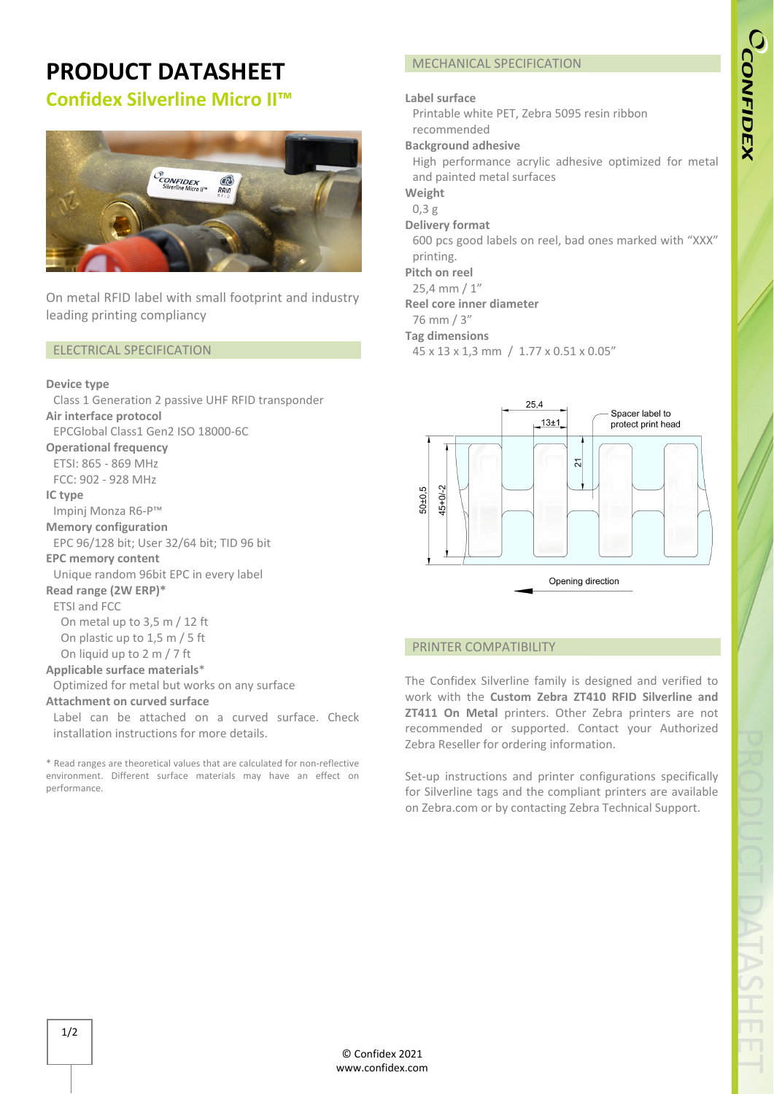### **PRODUCT DATASHEET Confidex Silverline Micro II™**

## **PCONFIDEX**<br>Silverline Micro  $R$

On metal RFID label with small footprint and industry leading printing compliancy

### ELECTRICAL SPECIFICATION

### **Device type**

Class 1 Generation 2 passive UHF RFID transponder **Air interface protocol**  EPCGlobal Class1 Gen2 ISO 18000‐6C

**Operational frequency**

ETSI: 865 ‐ 869 MHz  $FCC: 902 - 928 MHz$ 

**IC type** Impinj Monza R6‐P™

### **Memory configuration**

EPC 96/128 bit; User 32/64 bit; TID 96 bit

### **EPC memory content**

Unique random 96bit EPC in every label

### **Read range (2W ERP)\***

ETSI and FCC

On metal up to 3,5 m / 12 ft On plastic up to 1,5 m / 5 ft

On liquid up to 2 m / 7 ft

### **Applicable surface materials**\*

Optimized for metal but works on any surface

### **Attachment on curved surface**

Label can be attached on a curved surface. Check installation instructions for more details.

\* Read ranges are theoretical values that are calculated for non‐reflective environment. Different surface materials may have an effect on performance.

### MECHANICAL SPECIFICATION

### **Label surface**

Printable white PET, Zebra 5095 resin ribbon recommended

### **Background adhesive**

High performance acrylic adhesive optimized for metal and painted metal surfaces

**Weight**

### 0,3 g

**Delivery format**

600 pcs good labels on reel, bad ones marked with "XXX" printing.

### **Pitch on reel**

25,4 mm / 1"

### **Reel core inner diameter**

76 mm / 3"

### **Tag dimensions**

45 x 13 x 1,3 mm / 1.77 x 0.51 x 0.05"



### PRINTER COMPATIBILITY

The Confidex Silverline family is designed and verified to work with the **Custom Zebra ZT410 RFID Silverline and ZT411 On Metal** printers. Other Zebra printers are not recommended or supported. Contact your Authorized Zebra Reseller for ordering information.

Set-up instructions and printer configurations specifically for Silverline tags and the compliant printers are available on Zebra.com or by contacting Zebra Technical Support.